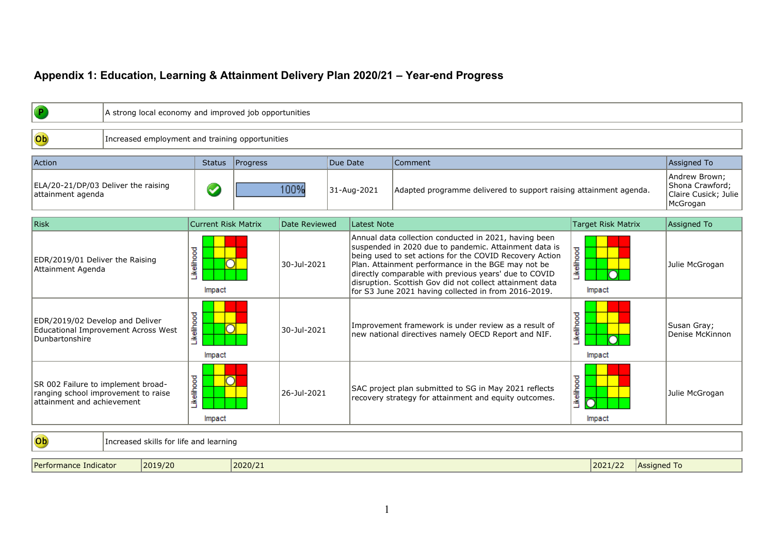## **Appendix 1: Education, Learning & Attainment Delivery Plan 2020/21 – Year-end Progress**

| P                                                                                                       |                                        | A strong local economy and improved job opportunities |          |                     |          |                    |                                                                                                                                                                                                                                                                                                                                                                                                              |            |                               |                                                                      |  |  |
|---------------------------------------------------------------------------------------------------------|----------------------------------------|-------------------------------------------------------|----------|---------------------|----------|--------------------|--------------------------------------------------------------------------------------------------------------------------------------------------------------------------------------------------------------------------------------------------------------------------------------------------------------------------------------------------------------------------------------------------------------|------------|-------------------------------|----------------------------------------------------------------------|--|--|
| Ob                                                                                                      |                                        | Increased employment and training opportunities       |          |                     |          |                    |                                                                                                                                                                                                                                                                                                                                                                                                              |            |                               |                                                                      |  |  |
| Action                                                                                                  |                                        | <b>Status</b>                                         | Progress |                     | Due Date |                    | Comment                                                                                                                                                                                                                                                                                                                                                                                                      |            |                               | Assigned To                                                          |  |  |
| ELA/20-21/DP/03 Deliver the raising<br>attainment agenda                                                |                                        | $\blacktriangledown$                                  |          | 100%<br>31-Aug-2021 |          |                    | Adapted programme delivered to support raising attainment agenda.                                                                                                                                                                                                                                                                                                                                            |            |                               | Andrew Brown;<br>Shona Crawford;<br>Claire Cusick; Julie<br>McGrogan |  |  |
| <b>Risk</b>                                                                                             |                                        | <b>Current Risk Matrix</b>                            |          | Date Reviewed       |          | <b>Latest Note</b> |                                                                                                                                                                                                                                                                                                                                                                                                              |            | <b>Target Risk Matrix</b>     | Assigned To                                                          |  |  |
| EDR/2019/01 Deliver the Raising<br>Attainment Agenda                                                    |                                        | Likelihood<br>⊃<br>Impact                             |          | 30-Jul-2021         |          |                    | Annual data collection conducted in 2021, having been<br>suspended in 2020 due to pandemic. Attainment data is<br>being used to set actions for the COVID Recovery Action<br>Plan. Attainment performance in the BGE may not be<br>directly comparable with previous years' due to COVID<br>disruption. Scottish Gov did not collect attainment data<br>for S3 June 2021 having collected in from 2016-2019. | Likelihood | ∩<br>Impact                   | Julie McGrogan                                                       |  |  |
| EDR/2019/02 Develop and Deliver<br>Dunbartonshire                                                       | Educational Improvement Across West    | Likelihood<br>Ō<br>Impact                             |          | 30-Jul-2021         |          |                    | Improvement framework is under review as a result of<br>new national directives namely OECD Report and NIF.                                                                                                                                                                                                                                                                                                  | Likelihood | Impact                        | Susan Gray;<br>Denise McKinnon                                       |  |  |
| SR 002 Failure to implement broad-<br>ranging school improvement to raise<br>attainment and achievement |                                        | Likelihood<br>Impact                                  |          | 26-Jul-2021         |          |                    | SAC project plan submitted to SG in May 2021 reflects<br>recovery strategy for attainment and equity outcomes.                                                                                                                                                                                                                                                                                               | Likelihood | Impact                        | Julie McGrogan                                                       |  |  |
| Ob                                                                                                      | Increased skills for life and learning |                                                       |          |                     |          |                    |                                                                                                                                                                                                                                                                                                                                                                                                              |            |                               |                                                                      |  |  |
| Performance Indicator                                                                                   | 2019/20                                |                                                       | 2020/21  |                     |          |                    |                                                                                                                                                                                                                                                                                                                                                                                                              |            | 2021/22<br><b>Assigned To</b> |                                                                      |  |  |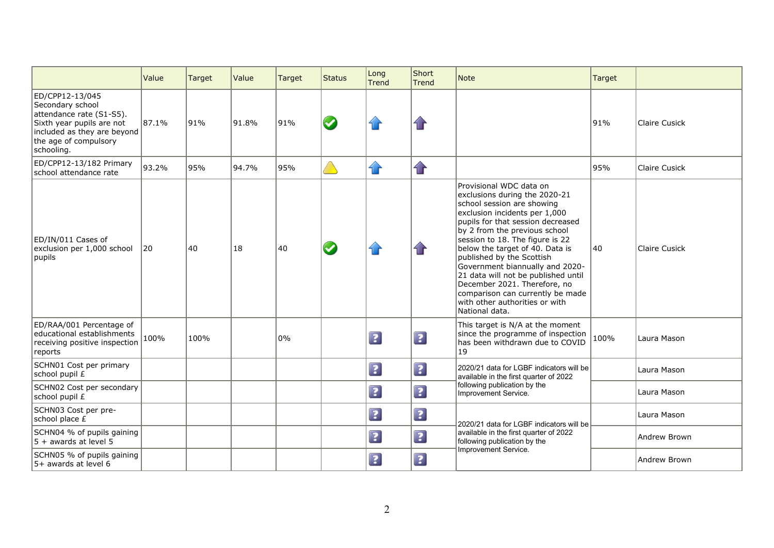|                                                                                                                                                                    | Value | Target | Value | Target | <b>Status</b> | Long<br><b>Trend</b>    | Short<br><b>Trend</b> | <b>Note</b>                                                                                                                                                                                                                                                                                                                                                                                                                                                                                        | Target |                      |
|--------------------------------------------------------------------------------------------------------------------------------------------------------------------|-------|--------|-------|--------|---------------|-------------------------|-----------------------|----------------------------------------------------------------------------------------------------------------------------------------------------------------------------------------------------------------------------------------------------------------------------------------------------------------------------------------------------------------------------------------------------------------------------------------------------------------------------------------------------|--------|----------------------|
| ED/CPP12-13/045<br>Secondary school<br>attendance rate (S1-S5).<br>Sixth year pupils are not<br>included as they are beyond<br>the age of compulsory<br>schooling. | 87.1% | 91%    | 91.8% | 91%    | $\bm{\omega}$ |                         | $\mathbf{d}$          |                                                                                                                                                                                                                                                                                                                                                                                                                                                                                                    | 91%    | <b>Claire Cusick</b> |
| ED/CPP12-13/182 Primary<br>school attendance rate                                                                                                                  | 93.2% | 95%    | 94.7% | 95%    |               | $\curvearrowleft$       | $\mathbf{r}$          |                                                                                                                                                                                                                                                                                                                                                                                                                                                                                                    | 95%    | Claire Cusick        |
| ED/IN/011 Cases of<br>exclusion per 1,000 school<br>pupils                                                                                                         | 20    | 40     | 18    | 40     | $\bm{\omega}$ |                         | $\mathbf{d}$          | Provisional WDC data on<br>exclusions during the 2020-21<br>school session are showing<br>exclusion incidents per 1,000<br>pupils for that session decreased<br>by 2 from the previous school<br>session to 18. The figure is 22<br>below the target of 40. Data is<br>published by the Scottish<br>Government biannually and 2020-<br>21 data will not be published until<br>December 2021. Therefore, no<br>comparison can currently be made<br>with other authorities or with<br>National data. | 140    | Claire Cusick        |
| ED/RAA/001 Percentage of<br>educational establishments<br>receiving positive inspection<br>reports                                                                 | 100%  | 100%   |       | 0%     |               | $\overline{\mathbf{?}}$ | $\boxed{?}$           | This target is N/A at the moment<br>since the programme of inspection<br>has been withdrawn due to COVID<br>19                                                                                                                                                                                                                                                                                                                                                                                     | 100%   | Laura Mason          |
| SCHN01 Cost per primary<br>school pupil £                                                                                                                          |       |        |       |        |               | $\boxed{?}$             | $\boxed{2}$           | 2020/21 data for LGBF indicators will be<br>available in the first quarter of 2022                                                                                                                                                                                                                                                                                                                                                                                                                 |        | Laura Mason          |
| SCHN02 Cost per secondary<br>school pupil £                                                                                                                        |       |        |       |        |               | $\boxed{?}$             | $\boxed{?}$           | following publication by the<br>Improvement Service.                                                                                                                                                                                                                                                                                                                                                                                                                                               |        | Laura Mason          |
| SCHN03 Cost per pre-<br>school place £                                                                                                                             |       |        |       |        |               | $\boxed{?}$             | $\boxed{2}$           | 2020/21 data for LGBF indicators will be                                                                                                                                                                                                                                                                                                                                                                                                                                                           |        | Laura Mason          |
| SCHN04 % of pupils gaining<br>$5 +$ awards at level 5                                                                                                              |       |        |       |        |               | $\overline{\mathbf{3}}$ | $\boxed{?}$           | available in the first quarter of 2022<br>following publication by the                                                                                                                                                                                                                                                                                                                                                                                                                             |        | Andrew Brown         |
| SCHN05 % of pupils gaining<br>5+ awards at level 6                                                                                                                 |       |        |       |        |               | $\overline{\mathbf{?}}$ | $\boxed{?}$           | Improvement Service.                                                                                                                                                                                                                                                                                                                                                                                                                                                                               |        | Andrew Brown         |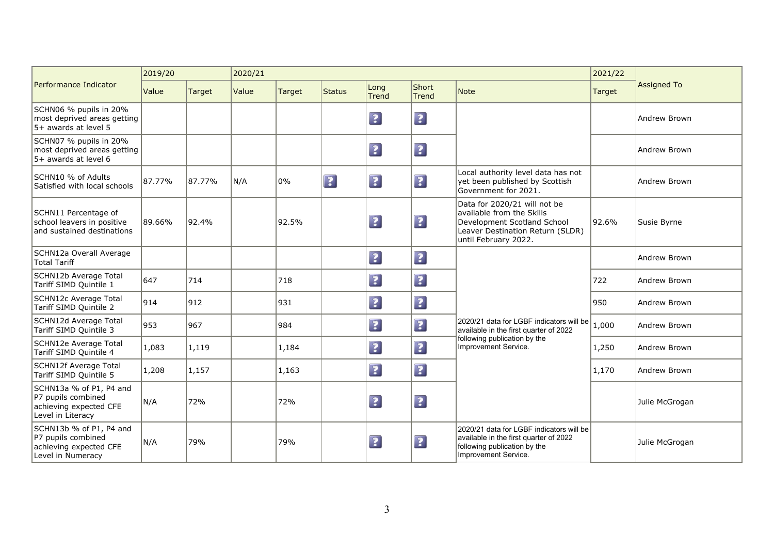|                                                                                              | 2019/20 |        | 2020/21 |               |             |                         |                         |                                                                                                                                                      | 2021/22 |                     |
|----------------------------------------------------------------------------------------------|---------|--------|---------|---------------|-------------|-------------------------|-------------------------|------------------------------------------------------------------------------------------------------------------------------------------------------|---------|---------------------|
| Performance Indicator                                                                        | Value   | Target | Value   | <b>Target</b> | Status      | Long<br><b>Trend</b>    | Short<br><b>Trend</b>   | <b>Note</b>                                                                                                                                          | Target  | <b>Assigned To</b>  |
| SCHN06 % pupils in 20%<br>most deprived areas getting<br>5+ awards at level 5                |         |        |         |               |             | $\boxed{?}$             | $\boxed{2}$             |                                                                                                                                                      |         | Andrew Brown        |
| SCHN07 % pupils in 20%<br>most deprived areas getting<br>5+ awards at level 6                |         |        |         |               |             | $\boxed{?}$             | $\boxed{2}$             |                                                                                                                                                      |         | Andrew Brown        |
| <b>SCHN10 % of Adults</b><br>Satisfied with local schools                                    | 87.77%  | 87.77% | N/A     | 0%            | $\boxed{?}$ | $\boxed{?}$             | $\overline{\mathbf{3}}$ | Local authority level data has not<br>yet been published by Scottish<br>Government for 2021.                                                         |         | Andrew Brown        |
| SCHN11 Percentage of<br>school leavers in positive<br>and sustained destinations             | 89.66%  | 92.4%  |         | 92.5%         |             | $\boxed{?}$             | $\boxed{2}$             | Data for 2020/21 will not be<br>available from the Skills<br>Development Scotland School<br>Leaver Destination Return (SLDR)<br>until February 2022. | 92.6%   | Susie Byrne         |
| SCHN12a Overall Average<br>Total Tariff                                                      |         |        |         |               |             | $\boxed{?}$             | $\boxed{2}$             |                                                                                                                                                      |         | <b>Andrew Brown</b> |
| SCHN12b Average Total<br>Tariff SIMD Quintile 1                                              | 647     | 714    |         | 718           |             | $\boxed{2}$             | $\boxed{?}$             |                                                                                                                                                      | 722     | Andrew Brown        |
| SCHN12c Average Total<br>Tariff SIMD Quintile 2                                              | 914     | 912    |         | 931           |             | $\overline{\mathbf{3}}$ | $\overline{\mathbf{3}}$ |                                                                                                                                                      | 950     | Andrew Brown        |
| SCHN12d Average Total<br>Tariff SIMD Quintile 3                                              | 953     | 967    |         | 984           |             | $\boxed{?}$             | $\boxed{?}$             | 2020/21 data for LGBF indicators will be<br>available in the first quarter of 2022                                                                   | 1,000   | Andrew Brown        |
| SCHN12e Average Total<br>Tariff SIMD Quintile 4                                              | 1,083   | 1,119  |         | 1,184         |             | $\boxed{?}$             | $\overline{\mathbf{3}}$ | following publication by the<br>Improvement Service.                                                                                                 | 1,250   | Andrew Brown        |
| SCHN12f Average Total<br>Tariff SIMD Quintile 5                                              | 1,208   | 1,157  |         | 1,163         |             | $\boxed{?}$             | $\boxed{?}$             |                                                                                                                                                      | 1,170   | Andrew Brown        |
| SCHN13a % of P1, P4 and<br>P7 pupils combined<br>achieving expected CFE<br>Level in Literacy | N/A     | 72%    |         | 72%           |             | $\boxed{?}$             | $\boxed{?}$             |                                                                                                                                                      |         | Julie McGrogan      |
| SCHN13b % of P1, P4 and<br>P7 pupils combined<br>achieving expected CFE<br>Level in Numeracy | N/A     | 79%    |         | 79%           |             | $\overline{\mathbf{?}}$ | $\boxed{?}$             | 2020/21 data for LGBF indicators will be<br>available in the first quarter of 2022<br>following publication by the<br>Improvement Service.           |         | Julie McGrogan      |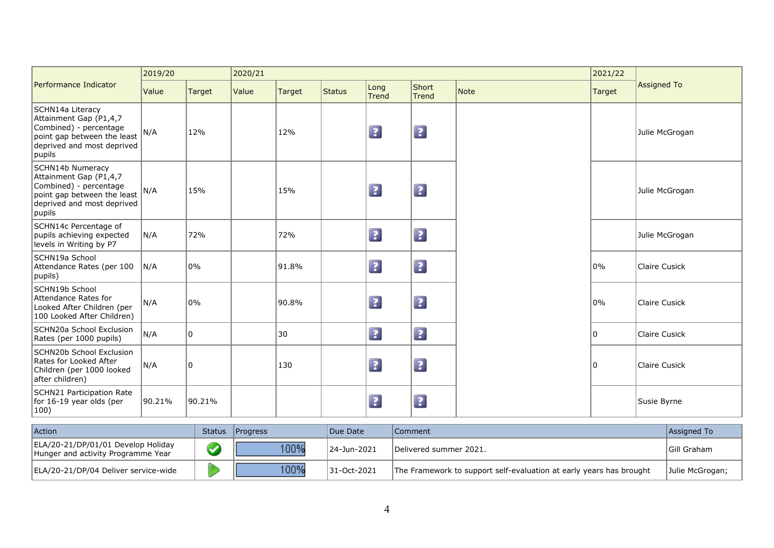|                                                                                                                                             | 2019/20 |        | 2020/21 |               |               |                         |                |      | 2021/22 |                |
|---------------------------------------------------------------------------------------------------------------------------------------------|---------|--------|---------|---------------|---------------|-------------------------|----------------|------|---------|----------------|
| Performance Indicator                                                                                                                       | Value   | Target | Value   | <b>Target</b> | <b>Status</b> | Long<br><b>Trend</b>    | Short<br>Trend | Note | Target  | Assigned To    |
| SCHN14a Literacy<br>Attainment Gap (P1,4,7<br>Combined) - percentage<br>point gap between the least<br>deprived and most deprived<br>pupils | N/A     | 12%    |         | 12%           |               | $\boxed{?}$             | $\boxed{2}$    |      |         | Julie McGrogan |
| SCHN14b Numeracy<br>Attainment Gap (P1,4,7<br>Combined) - percentage<br>point gap between the least<br>deprived and most deprived<br>pupils | N/A     | 15%    |         | 15%           |               | $\overline{\mathbf{3}}$ | $\boxed{?}$    |      |         | Julie McGrogan |
| SCHN14c Percentage of<br>pupils achieving expected<br>levels in Writing by P7                                                               | N/A     | 72%    |         | 72%           |               | $\boxed{?}$             | $\boxed{?}$    |      |         | Julie McGrogan |
| SCHN19a School<br>Attendance Rates (per 100<br>pupils)                                                                                      | N/A     | 0%     |         | 91.8%         |               | $\boxed{?}$             | $\boxed{2}$    |      | 0%      | Claire Cusick  |
| SCHN19b School<br>Attendance Rates for<br>Looked After Children (per<br>100 Looked After Children)                                          | N/A     | 0%     |         | 90.8%         |               | $\overline{\mathbf{?}}$ | $\boxed{2}$    |      | 0%      | Claire Cusick  |
| SCHN20a School Exclusion<br>Rates (per 1000 pupils)                                                                                         | N/A     | 10     |         | 30            |               | $\boxed{?}$             | $\boxed{?}$    |      | ۱n      | Claire Cusick  |
| SCHN20b School Exclusion<br>Rates for Looked After<br>Children (per 1000 looked<br>after children)                                          | N/A     | 0      |         | 130           |               | $\overline{\mathbf{?}}$ | $\boxed{2}$    |      | 10      | Claire Cusick  |
| SCHN21 Participation Rate<br>for 16-19 year olds (per<br>$\vert 100 \rangle$                                                                | 90.21%  | 90.21% |         |               |               | $\ddot{\mathbf{z}}$     | $\boxed{?}$    |      |         | Susie Byrne    |

| Action                                                                   | Status Progress | Due Date    | Comment                                                             | Assigned To     |
|--------------------------------------------------------------------------|-----------------|-------------|---------------------------------------------------------------------|-----------------|
| ELA/20-21/DP/01/01 Develop Holiday<br>Hunger and activity Programme Year | 100%            | 24-Jun-2021 | Delivered summer 2021.                                              | IGill Graham    |
| ELA/20-21/DP/04 Deliver service-wide                                     | 100%            | 31-Oct-2021 | The Framework to support self-evaluation at early years has brought | Julie McGrogan; |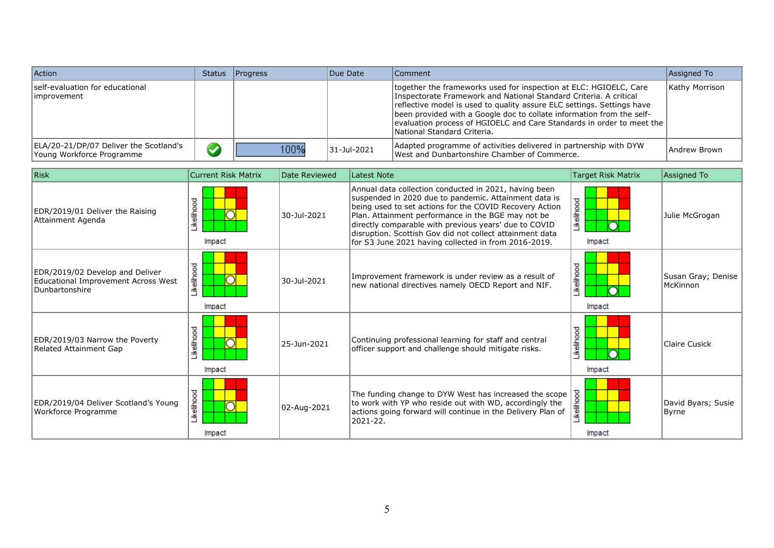| Action                                                              | Status Progress | Due Date    | Comment                                                                                                                                                                                                                                                                                                                                                                                           | Assigned To    |
|---------------------------------------------------------------------|-----------------|-------------|---------------------------------------------------------------------------------------------------------------------------------------------------------------------------------------------------------------------------------------------------------------------------------------------------------------------------------------------------------------------------------------------------|----------------|
| self-evaluation for educational<br>limprovement                     |                 |             | together the frameworks used for inspection at ELC: HGIOELC, Care<br>Inspectorate Framework and National Standard Criteria. A critical<br>reflective model is used to quality assure ELC settings. Settings have<br>been provided with a Google doc to collate information from the self-<br>evaluation process of HGIOELC and Care Standards in order to meet the<br>National Standard Criteria. | Kathy Morrison |
| ELA/20-21/DP/07 Deliver the Scotland's<br>Young Workforce Programme | 100%            | 31-Jul-2021 | Adapted programme of activities delivered in partnership with DYW<br>West and Dunbartonshire Chamber of Commerce.                                                                                                                                                                                                                                                                                 | Andrew Brown   |

| Risk                                                                                     | <b>Current Risk Matrix</b> | Date Reviewed | Latest Note                                                                                                                                                                                                                                                                                                                                                                                                  | <b>Target Risk Matrix</b> | Assigned To                    |
|------------------------------------------------------------------------------------------|----------------------------|---------------|--------------------------------------------------------------------------------------------------------------------------------------------------------------------------------------------------------------------------------------------------------------------------------------------------------------------------------------------------------------------------------------------------------------|---------------------------|--------------------------------|
| EDR/2019/01 Deliver the Raising<br>Attainment Agenda                                     | Likelihood<br>Impact       | 30-Jul-2021   | Annual data collection conducted in 2021, having been<br>suspended in 2020 due to pandemic. Attainment data is<br>being used to set actions for the COVID Recovery Action<br>Plan. Attainment performance in the BGE may not be<br>directly comparable with previous years' due to COVID<br>disruption. Scottish Gov did not collect attainment data<br>for S3 June 2021 having collected in from 2016-2019. | -ikelihood<br>Impact      | Julie McGrogan                 |
| EDR/2019/02 Develop and Deliver<br>Educational Improvement Across West<br>Dunbartonshire | <b>kelihood</b><br>Impact  | 30-Jul-2021   | Improvement framework is under review as a result of<br>new national directives namely OECD Report and NIF.                                                                                                                                                                                                                                                                                                  | .ikelihood<br>Impact      | Susan Gray; Denise<br>McKinnon |
| EDR/2019/03 Narrow the Poverty<br>Related Attainment Gap                                 | Likelihood<br>Impact       | 25-Jun-2021   | Continuing professional learning for staff and central<br>officer support and challenge should mitigate risks.                                                                                                                                                                                                                                                                                               | ikelihood<br>Impact       | Claire Cusick                  |
| EDR/2019/04 Deliver Scotland's Young<br>Workforce Programme                              | Likelihood<br>Ō<br>Impact  | 02-Aug-2021   | The funding change to DYW West has increased the scope<br>to work with YP who reside out with WD, accordingly the<br>actions going forward will continue in the Delivery Plan of<br>$2021 - 22$ .                                                                                                                                                                                                            | .ikelihood<br>Impact      | David Byars; Susie<br>Byrne    |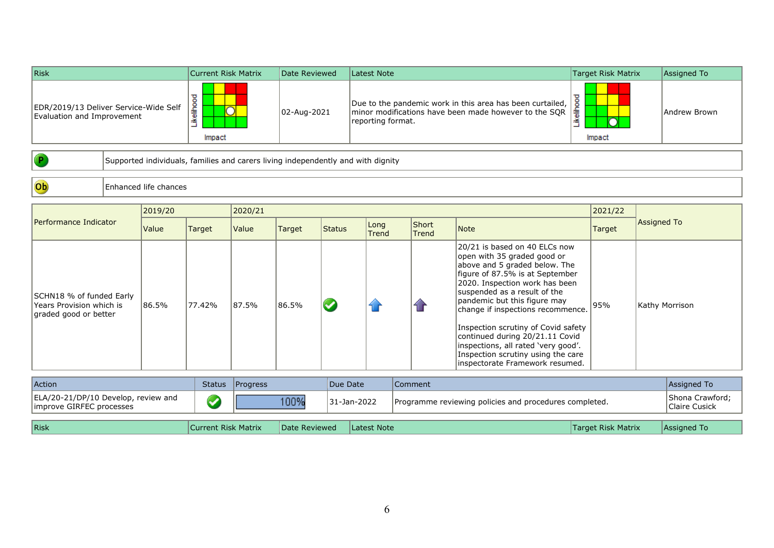| Risk                                                                | Current Risk Matrix | Date Reviewed | Latest Note                                                                                                                             | Target Risk Matrix | Assigned To  |
|---------------------------------------------------------------------|---------------------|---------------|-----------------------------------------------------------------------------------------------------------------------------------------|--------------------|--------------|
| EDR/2019/13 Deliver Service-Wide Self<br>Evaluation and Improvement | 2<br>⌒<br>Impact    | 02-Aug-2021   | Due to the pandemic work in this area has been curtailed,<br>minor modifications have been made however to the SQR<br>reporting format. | ۱₹<br>Impact       | Andrew Brown |

 $\bullet$ 

Supported individuals, families and carers living independently and with dignity

Ob Enhanced life chances

|                                                                               | 2019/20 |        | 2020/21 |        |        |               |                |                                                                                                                                                                                                                                                                                                                                                                                                                                                                    | 2021/22 |                |
|-------------------------------------------------------------------------------|---------|--------|---------|--------|--------|---------------|----------------|--------------------------------------------------------------------------------------------------------------------------------------------------------------------------------------------------------------------------------------------------------------------------------------------------------------------------------------------------------------------------------------------------------------------------------------------------------------------|---------|----------------|
| Performance Indicator                                                         | Value   | Target | Value   | Target | Status | Long<br>Trend | Short<br>Trend | <b>Note</b>                                                                                                                                                                                                                                                                                                                                                                                                                                                        | Target  | Assigned To    |
| SCHN18 % of funded Early<br>Years Provision which is<br>graded good or better | 86.5%   | 77.42% | 87.5%   | 86.5%  |        |               | 仓              | 20/21 is based on 40 ELCs now<br>open with 35 graded good or<br>above and 5 graded below. The<br>figure of 87.5% is at September<br>2020. Inspection work has been<br>suspended as a result of the<br>pandemic but this figure may<br>change if inspections recommence.<br>Inspection scrutiny of Covid safety<br>continued during 20/21.11 Covid<br>linspections, all rated 'very good'.<br>Inspection scrutiny using the care<br>inspectorate Framework resumed. | 95%     | Kathy Morrison |

| ELA/20-21/DP/10 Develop, review and<br>100%<br>31-Jan-2022<br>Programme reviewing policies and procedures completed.<br>Claire Cusick<br>limprove GIRFEC processes | Action | <b>Status</b> | <b>Progress</b> | Due Date | Comment | Assigned To            |
|--------------------------------------------------------------------------------------------------------------------------------------------------------------------|--------|---------------|-----------------|----------|---------|------------------------|
|                                                                                                                                                                    |        |               |                 |          |         | <b>Shona Crawford:</b> |

| $ R$ isk | Current Risk Matrix | Date Reviewed | TLatest Note | Target Risk Matrix | TAssigned To |
|----------|---------------------|---------------|--------------|--------------------|--------------|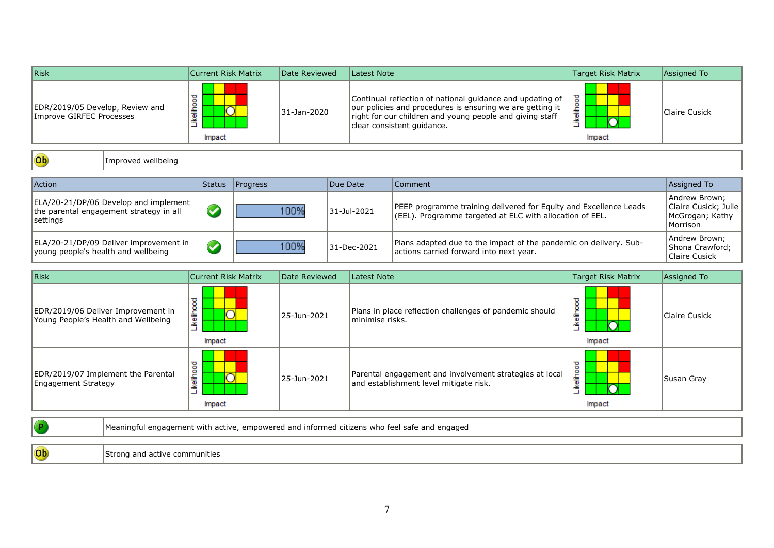| Risk                                                                                         | <b>Current Risk Matrix</b> | Date Reviewed | Latest Note                                                                                                                                                                                                      |                                                                                                                               | <b>Target Risk Matrix</b> | Assigned To                                                          |
|----------------------------------------------------------------------------------------------|----------------------------|---------------|------------------------------------------------------------------------------------------------------------------------------------------------------------------------------------------------------------------|-------------------------------------------------------------------------------------------------------------------------------|---------------------------|----------------------------------------------------------------------|
| EDR/2019/05 Develop, Review and<br>Improve GIRFEC Processes                                  | <b>kellhood</b><br>Impact  | 31-Jan-2020   | Continual reflection of national guidance and updating of<br>our policies and procedures is ensuring we are getting it<br>right for our children and young people and giving staff<br>clear consistent quidance. |                                                                                                                               | Likelihood<br>Impact      | Claire Cusick                                                        |
| Ob<br>Improved wellbeing                                                                     |                            |               |                                                                                                                                                                                                                  |                                                                                                                               |                           |                                                                      |
| <b>Action</b>                                                                                | Progress<br><b>Status</b>  |               | Due Date                                                                                                                                                                                                         | Comment                                                                                                                       |                           | Assigned To                                                          |
| ELA/20-21/DP/06 Develop and implement<br>the parental engagement strategy in all<br>settings | $\bullet$                  | 100%          | 31-Jul-2021                                                                                                                                                                                                      | PEEP programme training delivered for Equity and Excellence Leads<br>(EEL). Programme targeted at ELC with allocation of EEL. |                           | Andrew Brown;<br>Claire Cusick; Julie<br>McGrogan; Kathy<br>Morrison |
| ELA/20-21/DP/09 Deliver improvement in<br>young people's health and wellbeing                | $\blacklozenge$            | 100%          | 31-Dec-2021                                                                                                                                                                                                      | Plans adapted due to the impact of the pandemic on delivery. Sub-<br>actions carried forward into next year.                  |                           | Andrew Brown;<br>Shona Crawford;<br><b>Claire Cusick</b>             |
| Risk                                                                                         | <b>Current Risk Matrix</b> | Date Reviewed | Latest Note                                                                                                                                                                                                      |                                                                                                                               | <b>Target Risk Matrix</b> | Assigned To                                                          |
|                                                                                              |                            |               |                                                                                                                                                                                                                  |                                                                                                                               |                           |                                                                      |

| EDR/2019/06 Deliver Improvement in<br>Young People's Health and Wellbeing | ℧<br>۰<br>ikeliho<br>⌒<br>Impact | 25-Jun-2021 | Plans in place reflection challenges of pandemic should<br>lminimise risks.                       | elihoo<br>≝<br>Impact | Claire Cusick |
|---------------------------------------------------------------------------|----------------------------------|-------------|---------------------------------------------------------------------------------------------------|-----------------------|---------------|
| EDR/2019/07 Implement the Parental<br>Engagement Strategy                 | ℧<br>۰<br>흛<br>≚<br>Impact       | 25-Jun-2021 | Parental engagement and involvement strategies at local<br>and establishment level mitigate risk. | ۰<br>흛<br>≚<br>Impact | Susan Gray    |

|    | Meaningful engagement with active, empowered and informed citizens who feel safe and engaged |
|----|----------------------------------------------------------------------------------------------|
| Ob | Strong and active communities                                                                |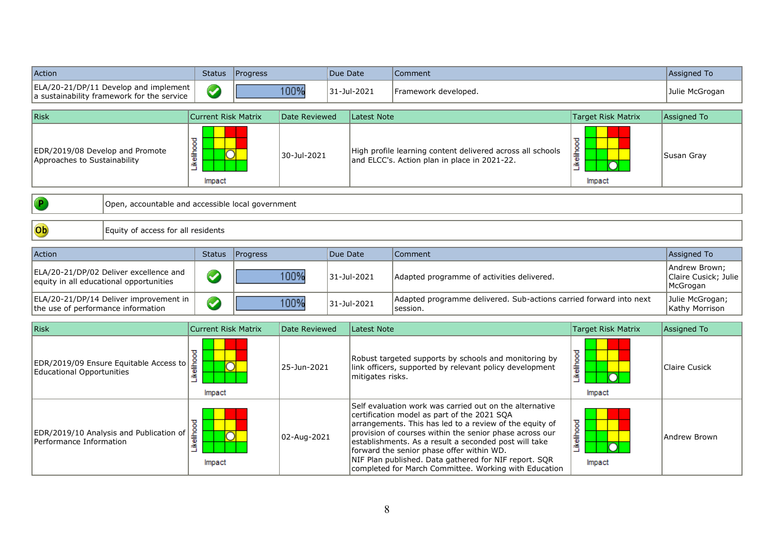| Action                                                                                             |                                                                                     | <b>Status</b>              | Progress    |                                                                                                                                      | Due Date                                                                                                                                                                                                                                                                                                                                                                                                                                             |                                                                                | Comment                                                                                                    |                                   | Assigned To                                       |
|----------------------------------------------------------------------------------------------------|-------------------------------------------------------------------------------------|----------------------------|-------------|--------------------------------------------------------------------------------------------------------------------------------------|------------------------------------------------------------------------------------------------------------------------------------------------------------------------------------------------------------------------------------------------------------------------------------------------------------------------------------------------------------------------------------------------------------------------------------------------------|--------------------------------------------------------------------------------|------------------------------------------------------------------------------------------------------------|-----------------------------------|---------------------------------------------------|
|                                                                                                    | ELA/20-21/DP/11 Develop and implement<br>a sustainability framework for the service | $\bm{\omega}$              |             | 100%                                                                                                                                 |                                                                                                                                                                                                                                                                                                                                                                                                                                                      | 31-Jul-2021<br>Framework developed.                                            |                                                                                                            |                                   | Julie McGrogan                                    |
| <b>Risk</b>                                                                                        |                                                                                     | <b>Current Risk Matrix</b> |             | Date Reviewed                                                                                                                        |                                                                                                                                                                                                                                                                                                                                                                                                                                                      | <b>Latest Note</b>                                                             |                                                                                                            | <b>Target Risk Matrix</b>         | Assigned To                                       |
| EDR/2019/08 Develop and Promote<br>Approaches to Sustainability                                    |                                                                                     | Likelihood<br>Impact       |             | 30-Jul-2021                                                                                                                          |                                                                                                                                                                                                                                                                                                                                                                                                                                                      |                                                                                | High profile learning content delivered across all schools<br>and ELCC's. Action plan in place in 2021-22. | Likelihood<br>Impact              | Susan Gray                                        |
|                                                                                                    | Open, accountable and accessible local government                                   |                            |             |                                                                                                                                      |                                                                                                                                                                                                                                                                                                                                                                                                                                                      |                                                                                |                                                                                                            |                                   |                                                   |
| $\overline{\text{Ob}}$                                                                             | Equity of access for all residents                                                  |                            |             |                                                                                                                                      |                                                                                                                                                                                                                                                                                                                                                                                                                                                      |                                                                                |                                                                                                            |                                   |                                                   |
| Action                                                                                             |                                                                                     | <b>Status</b>              | Progress    |                                                                                                                                      | Due Date                                                                                                                                                                                                                                                                                                                                                                                                                                             |                                                                                | Comment                                                                                                    |                                   | Assigned To                                       |
|                                                                                                    | ELA/20-21/DP/02 Deliver excellence and<br>equity in all educational opportunities   | $\bullet$                  |             | 100%                                                                                                                                 |                                                                                                                                                                                                                                                                                                                                                                                                                                                      | 31-Jul-2021                                                                    | Adapted programme of activities delivered.                                                                 |                                   | Andrew Brown:<br>Claire Cusick; Julie<br>McGrogan |
| ELA/20-21/DP/14 Deliver improvement in<br>$\bullet$<br>the use of performance information          |                                                                                     |                            | 100%        | 31-Jul-2021                                                                                                                          |                                                                                                                                                                                                                                                                                                                                                                                                                                                      | Adapted programme delivered. Sub-actions carried forward into next<br>session. |                                                                                                            | Julie McGrogan;<br>Kathy Morrison |                                                   |
| <b>Risk</b><br><b>Current Risk Matrix</b>                                                          |                                                                                     |                            |             | Date Reviewed                                                                                                                        |                                                                                                                                                                                                                                                                                                                                                                                                                                                      | <b>Latest Note</b>                                                             |                                                                                                            | <b>Target Risk Matrix</b>         | Assigned To                                       |
| Likelihood<br>EDR/2019/09 Ensure Equitable Access to<br><b>Educational Opportunities</b><br>Impact |                                                                                     | 25-Jun-2021                |             | Robust targeted supports by schools and monitoring by<br>link officers, supported by relevant policy development<br>mitigates risks. |                                                                                                                                                                                                                                                                                                                                                                                                                                                      | Likelihood<br>Impact                                                           | <b>Claire Cusick</b>                                                                                       |                                   |                                                   |
| Likelihood<br>EDR/2019/10 Analysis and Publication of<br>Performance Information<br>Impact         |                                                                                     |                            | 02-Aug-2021 |                                                                                                                                      | Self evaluation work was carried out on the alternative<br>certification model as part of the 2021 SQA<br>arrangements. This has led to a review of the equity of<br>provision of courses within the senior phase across our<br>establishments. As a result a seconded post will take<br>forward the senior phase offer within WD.<br>NIF Plan published. Data gathered for NIF report. SQR<br>completed for March Committee. Working with Education |                                                                                | Likelihood<br>Impact                                                                                       | Andrew Brown                      |                                                   |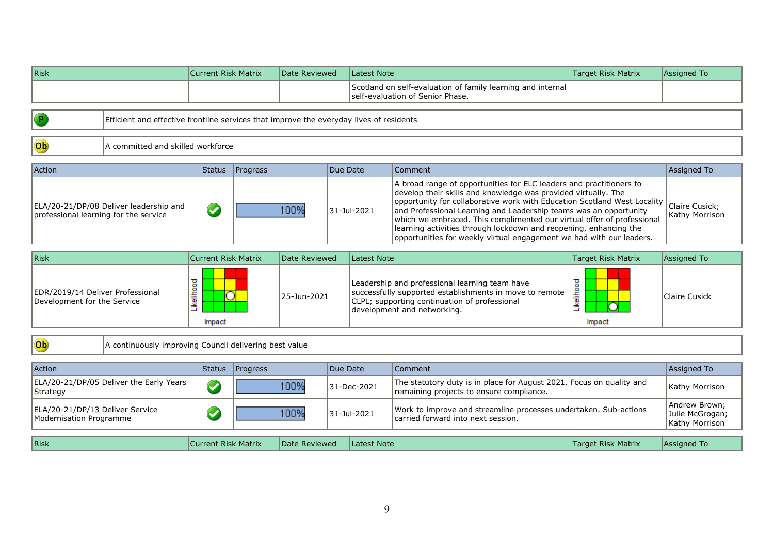| <b>Risk</b>                                                     |                                                                                         | <b>Current Risk Matrix</b> |          | Date Reviewed |          | <b>Latest Note</b> |                                                                                                                                                                                                                                                                                                                                                                                                                                                                                                               | <b>Target Risk Matrix</b> | Assigned To                                        |
|-----------------------------------------------------------------|-----------------------------------------------------------------------------------------|----------------------------|----------|---------------|----------|--------------------|---------------------------------------------------------------------------------------------------------------------------------------------------------------------------------------------------------------------------------------------------------------------------------------------------------------------------------------------------------------------------------------------------------------------------------------------------------------------------------------------------------------|---------------------------|----------------------------------------------------|
|                                                                 |                                                                                         |                            |          |               |          |                    | Scotland on self-evaluation of family learning and internal<br>self-evaluation of Senior Phase.                                                                                                                                                                                                                                                                                                                                                                                                               |                           |                                                    |
|                                                                 |                                                                                         |                            |          |               |          |                    |                                                                                                                                                                                                                                                                                                                                                                                                                                                                                                               |                           |                                                    |
|                                                                 | Efficient and effective frontline services that improve the everyday lives of residents |                            |          |               |          |                    |                                                                                                                                                                                                                                                                                                                                                                                                                                                                                                               |                           |                                                    |
|                                                                 |                                                                                         |                            |          |               |          |                    |                                                                                                                                                                                                                                                                                                                                                                                                                                                                                                               |                           |                                                    |
| $\overline{\text{ob}}$                                          | A committed and skilled workforce                                                       |                            |          |               |          |                    |                                                                                                                                                                                                                                                                                                                                                                                                                                                                                                               |                           |                                                    |
|                                                                 |                                                                                         |                            |          |               | Due Date |                    |                                                                                                                                                                                                                                                                                                                                                                                                                                                                                                               |                           |                                                    |
| Action                                                          |                                                                                         | <b>Status</b>              | Progress |               |          |                    | Comment                                                                                                                                                                                                                                                                                                                                                                                                                                                                                                       |                           | Assigned To                                        |
| professional learning for the service                           | ELA/20-21/DP/08 Deliver leadership and                                                  | $\bigcirc$                 |          | 100%          |          | 31-Jul-2021        | A broad range of opportunities for ELC leaders and practitioners to<br>develop their skills and knowledge was provided virtually. The<br>opportunity for collaborative work with Education Scotland West Locality<br>and Professional Learning and Leadership teams was an opportunity<br>which we embraced. This complimented our virtual offer of professional<br>learning activities through lockdown and reopening, enhancing the<br>opportunities for weekly virtual engagement we had with our leaders. |                           | Claire Cusick;<br>Kathy Morrison                   |
| <b>Risk</b>                                                     |                                                                                         | <b>Current Risk Matrix</b> |          | Date Reviewed |          | <b>Latest Note</b> |                                                                                                                                                                                                                                                                                                                                                                                                                                                                                                               | <b>Target Risk Matrix</b> | Assigned To                                        |
| EDR/2019/14 Deliver Professional<br>Development for the Service |                                                                                         | Likelihood<br>Impact       |          | 25-Jun-2021   |          |                    | Leadership and professional learning team have<br>successfully supported establishments in move to remote<br>CLPL; supporting continuation of professional<br>development and networking.                                                                                                                                                                                                                                                                                                                     | Likelihood<br>Impact      | <b>Claire Cusick</b>                               |
| Ob                                                              | A continuously improving Council delivering best value                                  |                            |          |               |          |                    |                                                                                                                                                                                                                                                                                                                                                                                                                                                                                                               |                           |                                                    |
| Action                                                          |                                                                                         | <b>Status</b>              | Progress |               | Due Date |                    | Comment                                                                                                                                                                                                                                                                                                                                                                                                                                                                                                       |                           | Assigned To                                        |
|                                                                 | ELA/20-21/DP/05 Deliver the Early Years                                                 |                            |          |               |          |                    | The statutory duty is in place for August 2021. Focus on quality and                                                                                                                                                                                                                                                                                                                                                                                                                                          |                           |                                                    |
| Strategy                                                        |                                                                                         | $\bigcirc$                 |          | 100%          |          | 31-Dec-2021        | remaining projects to ensure compliance.                                                                                                                                                                                                                                                                                                                                                                                                                                                                      |                           | Kathy Morrison                                     |
| ELA/20-21/DP/13 Deliver Service<br>Modernisation Programme      |                                                                                         | $\blacklozenge$            |          | 100%          |          | 31-Jul-2021        | Work to improve and streamline processes undertaken. Sub-actions<br>carried forward into next session.                                                                                                                                                                                                                                                                                                                                                                                                        |                           | Andrew Brown;<br>Julie McGrogan;<br>Kathy Morrison |
| <b>Risk</b>                                                     |                                                                                         | <b>Current Risk Matrix</b> |          | Date Reviewed |          | <b>Latest Note</b> |                                                                                                                                                                                                                                                                                                                                                                                                                                                                                                               | <b>Target Risk Matrix</b> | Assigned To                                        |
|                                                                 |                                                                                         |                            |          |               |          |                    |                                                                                                                                                                                                                                                                                                                                                                                                                                                                                                               |                           |                                                    |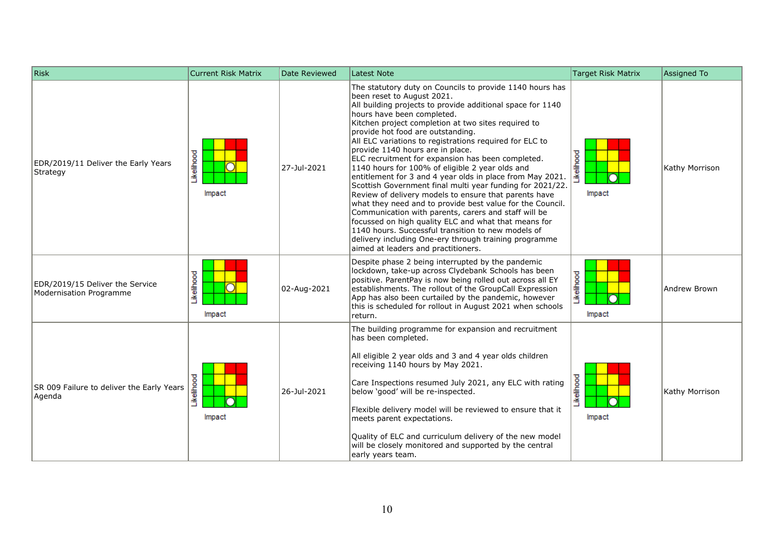| Risk                                                       | <b>Current Risk Matrix</b> | Date Reviewed | <b>Latest Note</b>                                                                                                                                                                                                                                                                                                                                                                                                                                                                                                                                                                                                                                                                                                                                                                                                                                                                                                                                                                                          | <b>Target Risk Matrix</b>      | Assigned To    |
|------------------------------------------------------------|----------------------------|---------------|-------------------------------------------------------------------------------------------------------------------------------------------------------------------------------------------------------------------------------------------------------------------------------------------------------------------------------------------------------------------------------------------------------------------------------------------------------------------------------------------------------------------------------------------------------------------------------------------------------------------------------------------------------------------------------------------------------------------------------------------------------------------------------------------------------------------------------------------------------------------------------------------------------------------------------------------------------------------------------------------------------------|--------------------------------|----------------|
| EDR/2019/11 Deliver the Early Years<br>Strategy            | Likelihood<br>Impact       | 27-Jul-2021   | The statutory duty on Councils to provide 1140 hours has<br>been reset to August 2021.<br>All building projects to provide additional space for 1140<br>hours have been completed.<br>Kitchen project completion at two sites required to<br>provide hot food are outstanding.<br>All ELC variations to registrations required for ELC to<br>provide 1140 hours are in place.<br>ELC recruitment for expansion has been completed.<br>1140 hours for 100% of eligible 2 year olds and<br>entitlement for 3 and 4 year olds in place from May 2021.<br>Scottish Government final multi year funding for 2021/22.<br>Review of delivery models to ensure that parents have<br>what they need and to provide best value for the Council.<br>Communication with parents, carers and staff will be<br>focussed on high quality ELC and what that means for<br>1140 hours. Successful transition to new models of<br>delivery including One-ery through training programme<br>aimed at leaders and practitioners. | <b>kelihood</b><br>∩<br>Impact | Kathy Morrison |
| EDR/2019/15 Deliver the Service<br>Modernisation Programme | Likelihood<br>Impact       | 02-Aug-2021   | Despite phase 2 being interrupted by the pandemic<br>lockdown, take-up across Clydebank Schools has been<br>positive. ParentPay is now being rolled out across all EY<br>establishments. The rollout of the GroupCall Expression<br>App has also been curtailed by the pandemic, however<br>this is scheduled for rollout in August 2021 when schools<br>return.                                                                                                                                                                                                                                                                                                                                                                                                                                                                                                                                                                                                                                            | Likelihood<br>Impact           | Andrew Brown   |
| SR 009 Failure to deliver the Early Years<br>Agenda        | Likelihood<br>Impact       | 26-Jul-2021   | The building programme for expansion and recruitment<br>has been completed.<br>All eligible 2 year olds and 3 and 4 year olds children<br>receiving 1140 hours by May 2021.<br>Care Inspections resumed July 2021, any ELC with rating<br>below 'good' will be re-inspected.<br>Flexible delivery model will be reviewed to ensure that it<br>meets parent expectations.<br>Quality of ELC and curriculum delivery of the new model<br>will be closely monitored and supported by the central<br>early years team.                                                                                                                                                                                                                                                                                                                                                                                                                                                                                          | Likelihood<br>Impact           | Kathy Morrison |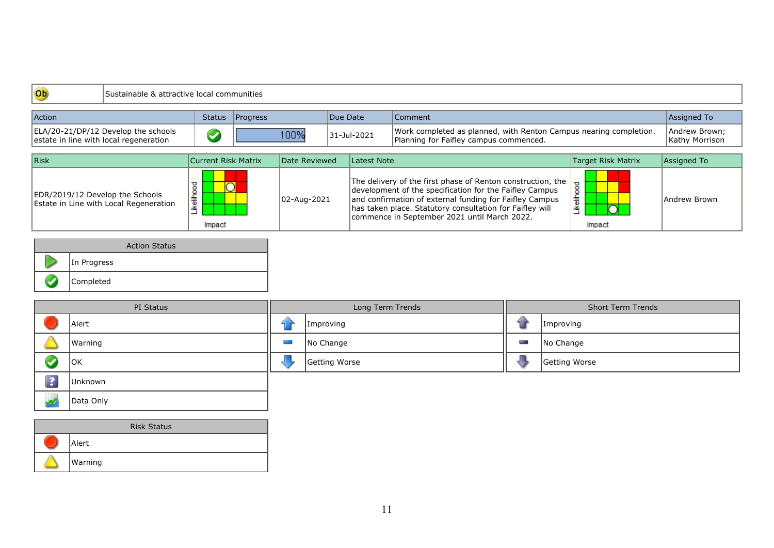| Ob                                     | Sustainable & attractive local communities |                      |          |               |          |             |                                                                                                                                                                                                                                                                                                 |                                            |                                 |
|----------------------------------------|--------------------------------------------|----------------------|----------|---------------|----------|-------------|-------------------------------------------------------------------------------------------------------------------------------------------------------------------------------------------------------------------------------------------------------------------------------------------------|--------------------------------------------|---------------------------------|
| <b>Action</b>                          |                                            | <b>Status</b>        | Progress |               | Due Date |             | Comment                                                                                                                                                                                                                                                                                         |                                            | Assigned To                     |
| estate in line with local regeneration | ELA/20-21/DP/12 Develop the schools        |                      |          | 100%          |          | 31-Jul-2021 | Work completed as planned, with Renton Campus nearing completion.<br>Planning for Faifley campus commenced.                                                                                                                                                                                     |                                            | Andrew Brown;<br>Kathy Morrison |
| Risk                                   |                                            | Current Risk Matrix  |          | Date Reviewed |          | Latest Note |                                                                                                                                                                                                                                                                                                 | Target Risk Matrix                         | Assigned To                     |
| EDR/2019/12 Develop the Schools        | Estate in Line with Local Regeneration     | .ikelihood<br>Impact |          | 02-Aug-2021   |          |             | The delivery of the first phase of Renton construction, the  <br>development of the specification for the Faifley Campus<br>and confirmation of external funding for Faifley Campus<br>has taken place. Statutory consultation for Faifley will<br>commence in September 2021 until March 2022. | ъ<br>$\circ$<br>ellino<br>등<br>≚<br>Impact | Andrew Brown                    |

|                 | <b>Action Status</b> |
|-----------------|----------------------|
|                 | In Progress          |
| <b>Property</b> | Completed            |

| PI Status |         | Long Term Trends | <b>Short Term Trends</b> |               |  |
|-----------|---------|------------------|--------------------------|---------------|--|
|           | Alert   | Improving        |                          | Improving     |  |
|           | Warning | No Change        | Posts.                   | No Change     |  |
|           | OK      | Getting Worse    |                          | Getting Worse |  |
| $\sim$    | Unknown |                  |                          |               |  |

| <b>Risk Status</b> |
|--------------------|
| Alert              |
| Warning            |

Data Only